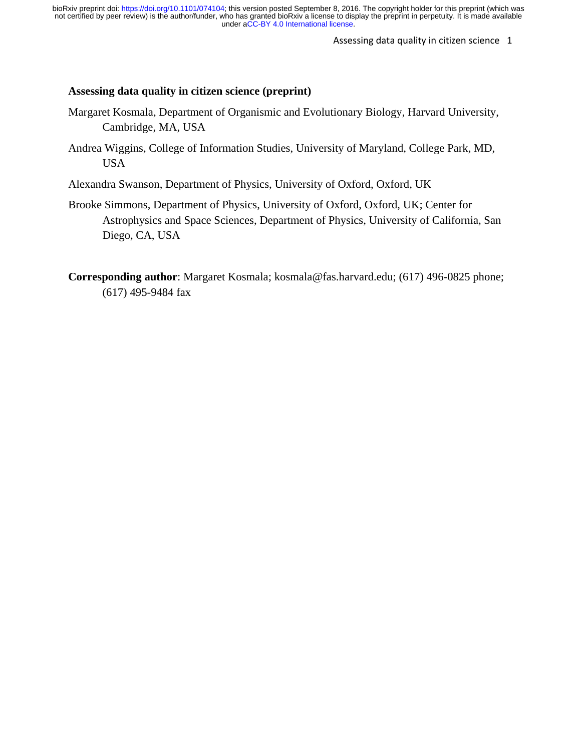Assessing data quality in citizen science 1

# **Assessing data quality in citizen science (preprint)**

- Margaret Kosmala, Department of Organismic and Evolutionary Biology, Harvard University, Cambridge, MA, USA
- Andrea Wiggins, College of Information Studies, University of Maryland, College Park, MD, USA
- Alexandra Swanson, Department of Physics, University of Oxford, Oxford, UK
- Brooke Simmons, Department of Physics, University of Oxford, Oxford, UK; Center for Astrophysics and Space Sciences, Department of Physics, University of California, San Diego, CA, USA
- **Corresponding author**: Margaret Kosmala; kosmala@fas.harvard.edu; (617) 496-0825 phone; (617) 495-9484 fax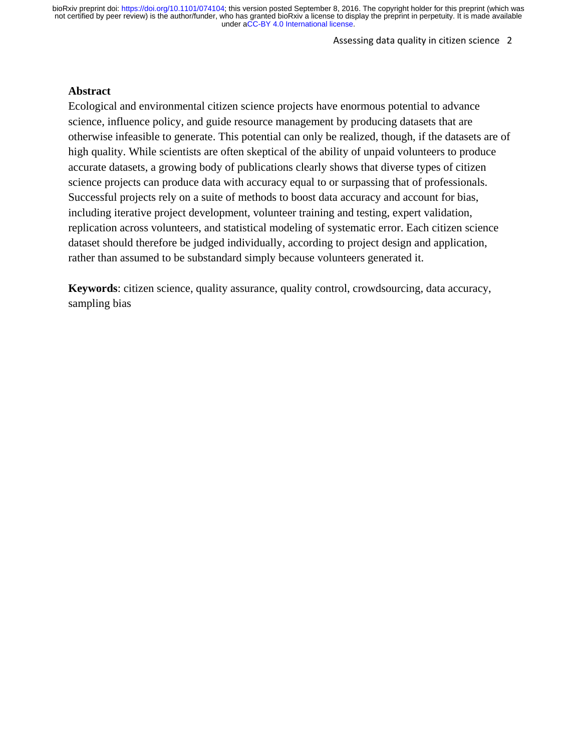Assessing data quality in citizen science 2

## **Abstract**

Ecological and environmental citizen science projects have enormous potential to advance science, influence policy, and guide resource management by producing datasets that are otherwise infeasible to generate. This potential can only be realized, though, if the datasets are of high quality. While scientists are often skeptical of the ability of unpaid volunteers to produce accurate datasets, a growing body of publications clearly shows that diverse types of citizen science projects can produce data with accuracy equal to or surpassing that of professionals. Successful projects rely on a suite of methods to boost data accuracy and account for bias, including iterative project development, volunteer training and testing, expert validation, replication across volunteers, and statistical modeling of systematic error. Each citizen science dataset should therefore be judged individually, according to project design and application, rather than assumed to be substandard simply because volunteers generated it.

**Keywords**: citizen science, quality assurance, quality control, crowdsourcing, data accuracy, sampling bias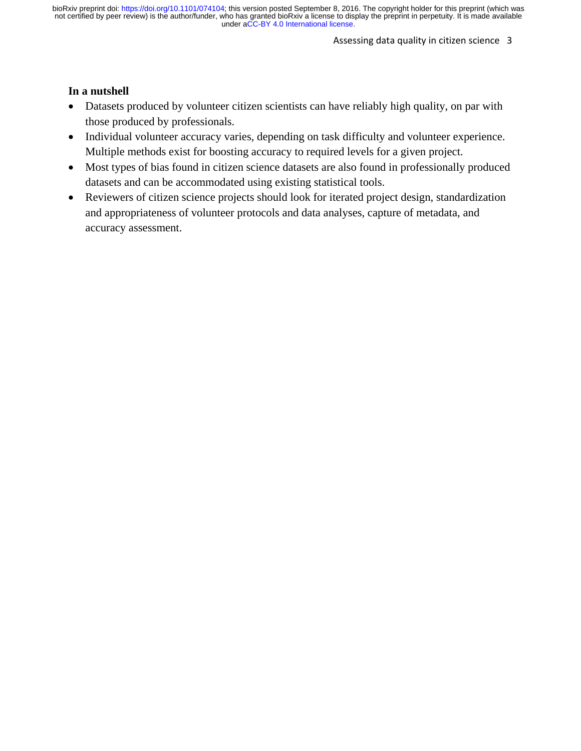#### Assessing data quality in citizen science 3

### **In a nutshell**

- Datasets produced by volunteer citizen scientists can have reliably high quality, on par with those produced by professionals.
- Individual volunteer accuracy varies, depending on task difficulty and volunteer experience. Multiple methods exist for boosting accuracy to required levels for a given project.
- Most types of bias found in citizen science datasets are also found in professionally produced datasets and can be accommodated using existing statistical tools.
- Reviewers of citizen science projects should look for iterated project design, standardization and appropriateness of volunteer protocols and data analyses, capture of metadata, and accuracy assessment.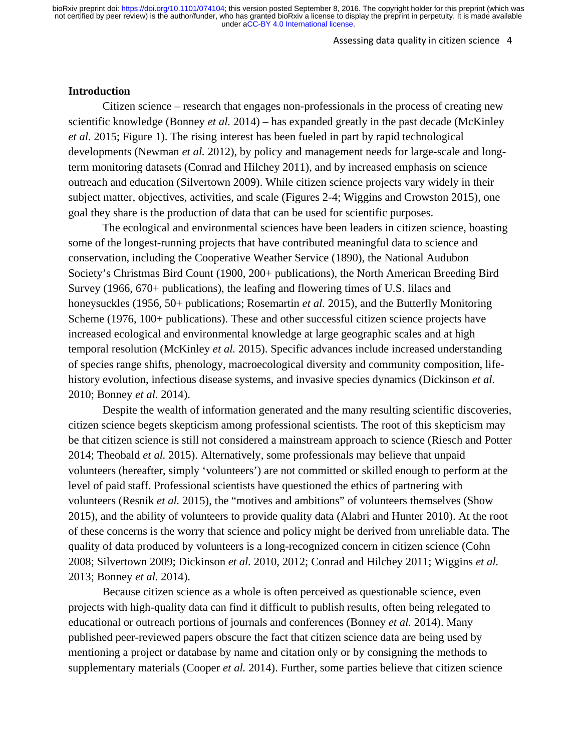#### Assessing data quality in citizen science 4

#### **Introduction**

Citizen science – research that engages non-professionals in the process of creating new scientific knowledge (Bonney *et al.* 2014) – has expanded greatly in the past decade (McKinley *et al.* 2015; Figure 1). The rising interest has been fueled in part by rapid technological developments (Newman *et al.* 2012), by policy and management needs for large-scale and longterm monitoring datasets (Conrad and Hilchey 2011), and by increased emphasis on science outreach and education (Silvertown 2009). While citizen science projects vary widely in their subject matter, objectives, activities, and scale (Figures 2-4; Wiggins and Crowston 2015), one goal they share is the production of data that can be used for scientific purposes.

The ecological and environmental sciences have been leaders in citizen science, boasting some of the longest-running projects that have contributed meaningful data to science and conservation, including the Cooperative Weather Service (1890), the National Audubon Society's Christmas Bird Count (1900, 200+ publications), the North American Breeding Bird Survey (1966, 670+ publications), the leafing and flowering times of U.S. lilacs and honeysuckles (1956, 50+ publications; Rosemartin *et al.* 2015), and the Butterfly Monitoring Scheme (1976, 100+ publications). These and other successful citizen science projects have increased ecological and environmental knowledge at large geographic scales and at high temporal resolution (McKinley *et al.* 2015). Specific advances include increased understanding of species range shifts, phenology, macroecological diversity and community composition, lifehistory evolution, infectious disease systems, and invasive species dynamics (Dickinson *et al.* 2010; Bonney *et al.* 2014).

Despite the wealth of information generated and the many resulting scientific discoveries, citizen science begets skepticism among professional scientists. The root of this skepticism may be that citizen science is still not considered a mainstream approach to science (Riesch and Potter 2014; Theobald *et al.* 2015). Alternatively, some professionals may believe that unpaid volunteers (hereafter, simply 'volunteers') are not committed or skilled enough to perform at the level of paid staff. Professional scientists have questioned the ethics of partnering with volunteers (Resnik *et al.* 2015), the "motives and ambitions" of volunteers themselves (Show 2015), and the ability of volunteers to provide quality data (Alabri and Hunter 2010). At the root of these concerns is the worry that science and policy might be derived from unreliable data. The quality of data produced by volunteers is a long-recognized concern in citizen science (Cohn 2008; Silvertown 2009; Dickinson *et al.* 2010, 2012; Conrad and Hilchey 2011; Wiggins *et al.* 2013; Bonney *et al.* 2014).

Because citizen science as a whole is often perceived as questionable science, even projects with high-quality data can find it difficult to publish results, often being relegated to educational or outreach portions of journals and conferences (Bonney *et al.* 2014). Many published peer-reviewed papers obscure the fact that citizen science data are being used by mentioning a project or database by name and citation only or by consigning the methods to supplementary materials (Cooper *et al.* 2014). Further, some parties believe that citizen science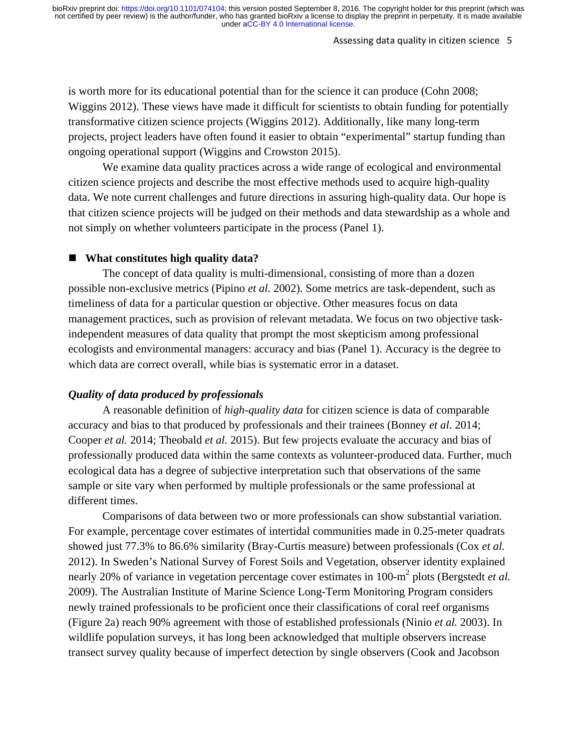#### Assessing data quality in citizen science 5

is worth more for its educational potential than for the science it can produce (Cohn 2008; Wiggins 2012). These views have made it difficult for scientists to obtain funding for potentially transformative citizen science projects (Wiggins 2012). Additionally, like many long-term projects, project leaders have often found it easier to obtain "experimental" startup funding than ongoing operational support (Wiggins and Crowston 2015).

We examine data quality practices across a wide range of ecological and environmental citizen science projects and describe the most effective methods used to acquire high-quality data. We note current challenges and future directions in assuring high-quality data. Our hope is that citizen science projects will be judged on their methods and data stewardship as a whole and not simply on whether volunteers participate in the process (Panel 1).

### **What constitutes high quality data?**

The concept of data quality is multi-dimensional, consisting of more than a dozen possible non-exclusive metrics (Pipino *et al.* 2002). Some metrics are task-dependent, such as timeliness of data for a particular question or objective. Other measures focus on data management practices, such as provision of relevant metadata. We focus on two objective taskindependent measures of data quality that prompt the most skepticism among professional ecologists and environmental managers: accuracy and bias (Panel 1). Accuracy is the degree to which data are correct overall, while bias is systematic error in a dataset.

### *Quality of data produced by professionals*

A reasonable definition of *high-quality data* for citizen science is data of comparable accuracy and bias to that produced by professionals and their trainees (Bonney *et al.* 2014; Cooper *et al.* 2014; Theobald *et al.* 2015). But few projects evaluate the accuracy and bias of professionally produced data within the same contexts as volunteer-produced data. Further, much ecological data has a degree of subjective interpretation such that observations of the same sample or site vary when performed by multiple professionals or the same professional at different times.

Comparisons of data between two or more professionals can show substantial variation. For example, percentage cover estimates of intertidal communities made in 0.25-meter quadrats showed just 77.3% to 86.6% similarity (Bray-Curtis measure) between professionals (Cox *et al.* 2012). In Sweden's National Survey of Forest Soils and Vegetation, observer identity explained nearly 20% of variance in vegetation percentage cover estimates in 100-m<sup>2</sup> plots (Bergstedt *et al.* 2009). The Australian Institute of Marine Science Long-Term Monitoring Program considers newly trained professionals to be proficient once their classifications of coral reef organisms (Figure 2a) reach 90% agreement with those of established professionals (Ninio *et al.* 2003). In wildlife population surveys, it has long been acknowledged that multiple observers increase transect survey quality because of imperfect detection by single observers (Cook and Jacobson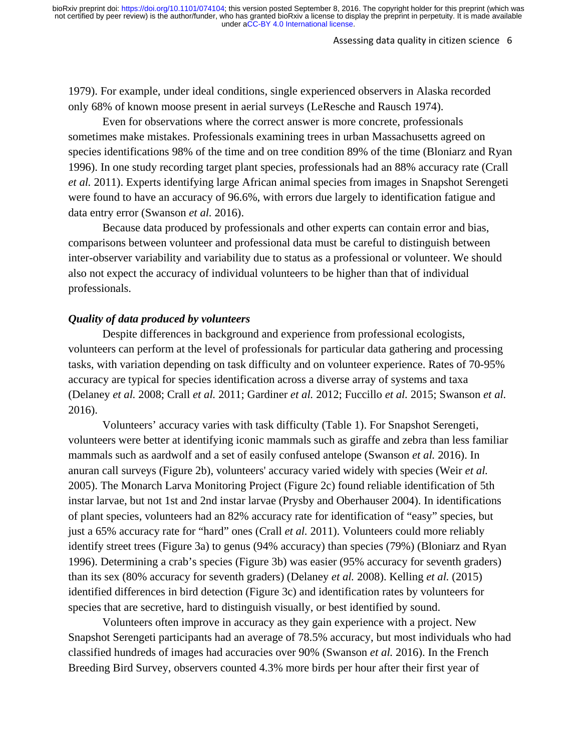#### Assessing data quality in citizen science 6

1979). For example, under ideal conditions, single experienced observers in Alaska recorded only 68% of known moose present in aerial surveys (LeResche and Rausch 1974).

Even for observations where the correct answer is more concrete, professionals sometimes make mistakes. Professionals examining trees in urban Massachusetts agreed on species identifications 98% of the time and on tree condition 89% of the time (Bloniarz and Ryan 1996). In one study recording target plant species, professionals had an 88% accuracy rate (Crall *et al.* 2011). Experts identifying large African animal species from images in Snapshot Serengeti were found to have an accuracy of 96.6%, with errors due largely to identification fatigue and data entry error (Swanson *et al.* 2016).

Because data produced by professionals and other experts can contain error and bias, comparisons between volunteer and professional data must be careful to distinguish between inter-observer variability and variability due to status as a professional or volunteer. We should also not expect the accuracy of individual volunteers to be higher than that of individual professionals.

## *Quality of data produced by volunteers*

Despite differences in background and experience from professional ecologists, volunteers can perform at the level of professionals for particular data gathering and processing tasks, with variation depending on task difficulty and on volunteer experience. Rates of 70-95% accuracy are typical for species identification across a diverse array of systems and taxa (Delaney *et al.* 2008; Crall *et al.* 2011; Gardiner *et al.* 2012; Fuccillo *et al.* 2015; Swanson *et al.* 2016).

Volunteers' accuracy varies with task difficulty (Table 1). For Snapshot Serengeti, volunteers were better at identifying iconic mammals such as giraffe and zebra than less familiar mammals such as aardwolf and a set of easily confused antelope (Swanson *et al.* 2016). In anuran call surveys (Figure 2b), volunteers' accuracy varied widely with species (Weir *et al.* 2005). The Monarch Larva Monitoring Project (Figure 2c) found reliable identification of 5th instar larvae, but not 1st and 2nd instar larvae (Prysby and Oberhauser 2004). In identifications of plant species, volunteers had an 82% accuracy rate for identification of "easy" species, but just a 65% accuracy rate for "hard" ones (Crall *et al.* 2011). Volunteers could more reliably identify street trees (Figure 3a) to genus (94% accuracy) than species (79%) (Bloniarz and Ryan 1996). Determining a crab's species (Figure 3b) was easier (95% accuracy for seventh graders) than its sex (80% accuracy for seventh graders) (Delaney *et al.* 2008). Kelling *et al.* (2015) identified differences in bird detection (Figure 3c) and identification rates by volunteers for species that are secretive, hard to distinguish visually, or best identified by sound.

Volunteers often improve in accuracy as they gain experience with a project. New Snapshot Serengeti participants had an average of 78.5% accuracy, but most individuals who had classified hundreds of images had accuracies over 90% (Swanson *et al.* 2016). In the French Breeding Bird Survey, observers counted 4.3% more birds per hour after their first year of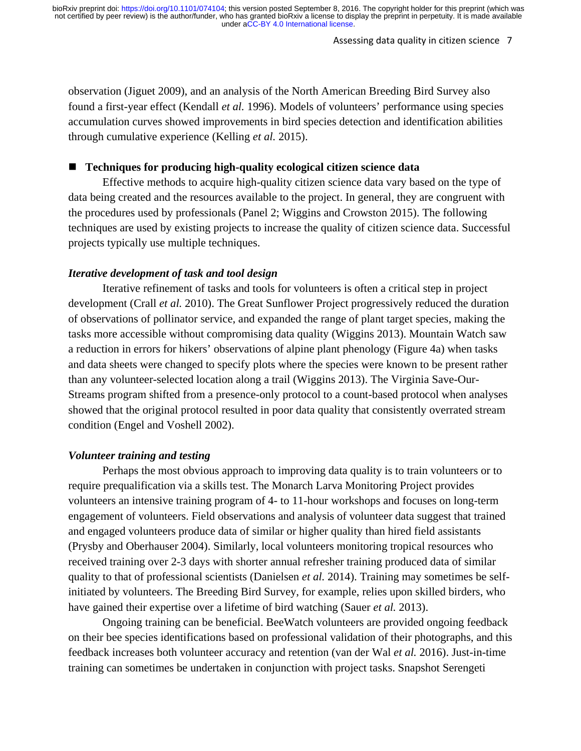#### Assessing data quality in citizen science 7

observation (Jiguet 2009), and an analysis of the North American Breeding Bird Survey also found a first-year effect (Kendall *et al.* 1996). Models of volunteers' performance using species accumulation curves showed improvements in bird species detection and identification abilities through cumulative experience (Kelling *et al.* 2015).

### **Techniques for producing high-quality ecological citizen science data**

Effective methods to acquire high-quality citizen science data vary based on the type of data being created and the resources available to the project. In general, they are congruent with the procedures used by professionals (Panel 2; Wiggins and Crowston 2015). The following techniques are used by existing projects to increase the quality of citizen science data. Successful projects typically use multiple techniques.

### *Iterative development of task and tool design*

Iterative refinement of tasks and tools for volunteers is often a critical step in project development (Crall *et al.* 2010). The Great Sunflower Project progressively reduced the duration of observations of pollinator service, and expanded the range of plant target species, making the tasks more accessible without compromising data quality (Wiggins 2013). Mountain Watch saw a reduction in errors for hikers' observations of alpine plant phenology (Figure 4a) when tasks and data sheets were changed to specify plots where the species were known to be present rather than any volunteer-selected location along a trail (Wiggins 2013). The Virginia Save-Our-Streams program shifted from a presence-only protocol to a count-based protocol when analyses showed that the original protocol resulted in poor data quality that consistently overrated stream condition (Engel and Voshell 2002).

### *Volunteer training and testing*

Perhaps the most obvious approach to improving data quality is to train volunteers or to require prequalification via a skills test. The Monarch Larva Monitoring Project provides volunteers an intensive training program of 4- to 11-hour workshops and focuses on long-term engagement of volunteers. Field observations and analysis of volunteer data suggest that trained and engaged volunteers produce data of similar or higher quality than hired field assistants (Prysby and Oberhauser 2004). Similarly, local volunteers monitoring tropical resources who received training over 2-3 days with shorter annual refresher training produced data of similar quality to that of professional scientists (Danielsen *et al.* 2014). Training may sometimes be selfinitiated by volunteers. The Breeding Bird Survey, for example, relies upon skilled birders, who have gained their expertise over a lifetime of bird watching (Sauer *et al.* 2013).

Ongoing training can be beneficial. BeeWatch volunteers are provided ongoing feedback on their bee species identifications based on professional validation of their photographs, and this feedback increases both volunteer accuracy and retention (van der Wal *et al.* 2016). Just-in-time training can sometimes be undertaken in conjunction with project tasks. Snapshot Serengeti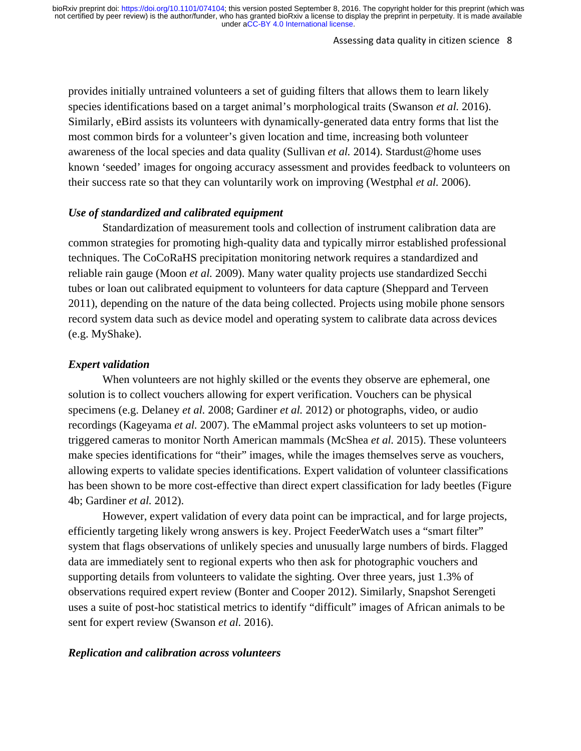#### Assessing data quality in citizen science 8

provides initially untrained volunteers a set of guiding filters that allows them to learn likely species identifications based on a target animal's morphological traits (Swanson *et al.* 2016). Similarly, eBird assists its volunteers with dynamically-generated data entry forms that list the most common birds for a volunteer's given location and time, increasing both volunteer awareness of the local species and data quality (Sullivan *et al.* 2014). Stardust@home uses known 'seeded' images for ongoing accuracy assessment and provides feedback to volunteers on their success rate so that they can voluntarily work on improving (Westphal *et al.* 2006).

#### *Use of standardized and calibrated equipment*

Standardization of measurement tools and collection of instrument calibration data are common strategies for promoting high-quality data and typically mirror established professional techniques. The CoCoRaHS precipitation monitoring network requires a standardized and reliable rain gauge (Moon *et al.* 2009). Many water quality projects use standardized Secchi tubes or loan out calibrated equipment to volunteers for data capture (Sheppard and Terveen 2011), depending on the nature of the data being collected. Projects using mobile phone sensors record system data such as device model and operating system to calibrate data across devices (e.g. MyShake).

### *Expert validation*

When volunteers are not highly skilled or the events they observe are ephemeral, one solution is to collect vouchers allowing for expert verification. Vouchers can be physical specimens (e.g. Delaney *et al.* 2008; Gardiner *et al.* 2012) or photographs, video, or audio recordings (Kageyama *et al.* 2007). The eMammal project asks volunteers to set up motiontriggered cameras to monitor North American mammals (McShea *et al.* 2015). These volunteers make species identifications for "their" images, while the images themselves serve as vouchers, allowing experts to validate species identifications. Expert validation of volunteer classifications has been shown to be more cost-effective than direct expert classification for lady beetles (Figure 4b; Gardiner *et al.* 2012).

However, expert validation of every data point can be impractical, and for large projects, efficiently targeting likely wrong answers is key. Project FeederWatch uses a "smart filter" system that flags observations of unlikely species and unusually large numbers of birds. Flagged data are immediately sent to regional experts who then ask for photographic vouchers and supporting details from volunteers to validate the sighting. Over three years, just 1.3% of observations required expert review (Bonter and Cooper 2012). Similarly, Snapshot Serengeti uses a suite of post-hoc statistical metrics to identify "difficult" images of African animals to be sent for expert review (Swanson *et al.* 2016).

### *Replication and calibration across volunteers*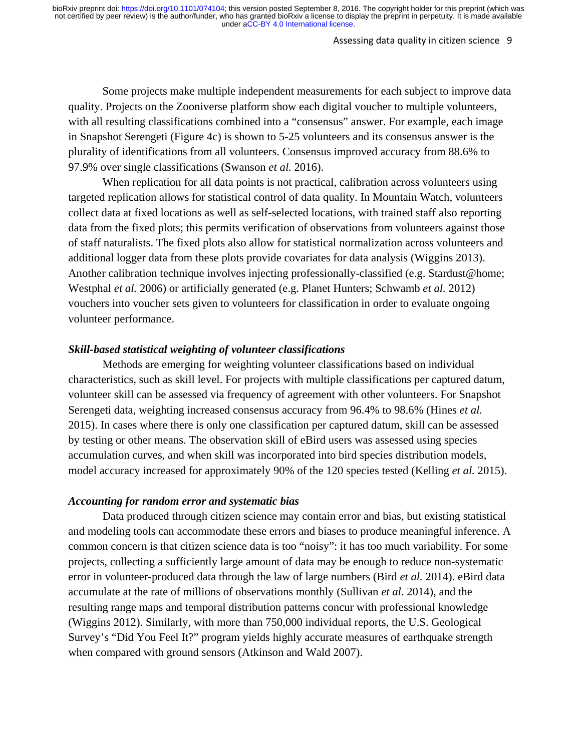#### Assessing data quality in citizen science 9

Some projects make multiple independent measurements for each subject to improve data quality. Projects on the Zooniverse platform show each digital voucher to multiple volunteers, with all resulting classifications combined into a "consensus" answer. For example, each image in Snapshot Serengeti (Figure 4c) is shown to 5-25 volunteers and its consensus answer is the plurality of identifications from all volunteers. Consensus improved accuracy from 88.6% to 97.9% over single classifications (Swanson *et al.* 2016).

When replication for all data points is not practical, calibration across volunteers using targeted replication allows for statistical control of data quality. In Mountain Watch, volunteers collect data at fixed locations as well as self-selected locations, with trained staff also reporting data from the fixed plots; this permits verification of observations from volunteers against those of staff naturalists. The fixed plots also allow for statistical normalization across volunteers and additional logger data from these plots provide covariates for data analysis (Wiggins 2013). Another calibration technique involves injecting professionally-classified (e.g. Stardust@home; Westphal *et al.* 2006) or artificially generated (e.g. Planet Hunters; Schwamb *et al.* 2012) vouchers into voucher sets given to volunteers for classification in order to evaluate ongoing volunteer performance.

### *Skill-based statistical weighting of volunteer classifications*

Methods are emerging for weighting volunteer classifications based on individual characteristics, such as skill level. For projects with multiple classifications per captured datum, volunteer skill can be assessed via frequency of agreement with other volunteers. For Snapshot Serengeti data, weighting increased consensus accuracy from 96.4% to 98.6% (Hines *et al.* 2015). In cases where there is only one classification per captured datum, skill can be assessed by testing or other means. The observation skill of eBird users was assessed using species accumulation curves, and when skill was incorporated into bird species distribution models, model accuracy increased for approximately 90% of the 120 species tested (Kelling *et al.* 2015).

#### *Accounting for random error and systematic bias*

Data produced through citizen science may contain error and bias, but existing statistical and modeling tools can accommodate these errors and biases to produce meaningful inference. A common concern is that citizen science data is too "noisy": it has too much variability. For some projects, collecting a sufficiently large amount of data may be enough to reduce non-systematic error in volunteer-produced data through the law of large numbers (Bird *et al.* 2014). eBird data accumulate at the rate of millions of observations monthly (Sullivan *et al.* 2014), and the resulting range maps and temporal distribution patterns concur with professional knowledge (Wiggins 2012). Similarly, with more than 750,000 individual reports, the U.S. Geological Survey's "Did You Feel It?" program yields highly accurate measures of earthquake strength when compared with ground sensors (Atkinson and Wald 2007).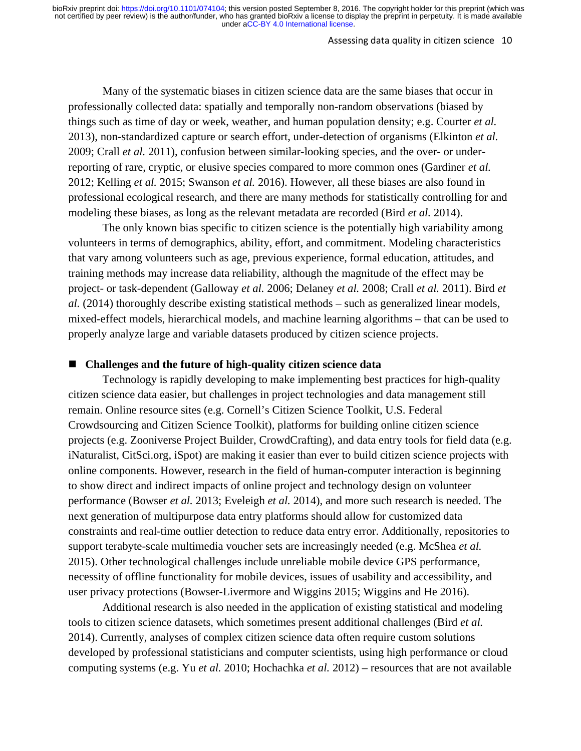#### Assessing data quality in citizen science 10

Many of the systematic biases in citizen science data are the same biases that occur in professionally collected data: spatially and temporally non-random observations (biased by things such as time of day or week, weather, and human population density; e.g. Courter *et al.* 2013), non-standardized capture or search effort, under-detection of organisms (Elkinton *et al.* 2009; Crall *et al.* 2011), confusion between similar-looking species, and the over- or underreporting of rare, cryptic, or elusive species compared to more common ones (Gardiner *et al.* 2012; Kelling *et al.* 2015; Swanson *et al.* 2016). However, all these biases are also found in professional ecological research, and there are many methods for statistically controlling for and modeling these biases, as long as the relevant metadata are recorded (Bird *et al.* 2014).

The only known bias specific to citizen science is the potentially high variability among volunteers in terms of demographics, ability, effort, and commitment. Modeling characteristics that vary among volunteers such as age, previous experience, formal education, attitudes, and training methods may increase data reliability, although the magnitude of the effect may be project- or task-dependent (Galloway *et al.* 2006; Delaney *et al.* 2008; Crall *et al.* 2011). Bird *et al.* (2014) thoroughly describe existing statistical methods – such as generalized linear models, mixed-effect models, hierarchical models, and machine learning algorithms – that can be used to properly analyze large and variable datasets produced by citizen science projects.

### **Challenges and the future of high-quality citizen science data**

Technology is rapidly developing to make implementing best practices for high-quality citizen science data easier, but challenges in project technologies and data management still remain. Online resource sites (e.g. Cornell's Citizen Science Toolkit, U.S. Federal Crowdsourcing and Citizen Science Toolkit), platforms for building online citizen science projects (e.g. Zooniverse Project Builder, CrowdCrafting), and data entry tools for field data (e.g. iNaturalist, CitSci.org, iSpot) are making it easier than ever to build citizen science projects with online components. However, research in the field of human-computer interaction is beginning to show direct and indirect impacts of online project and technology design on volunteer performance (Bowser *et al.* 2013; Eveleigh *et al.* 2014), and more such research is needed. The next generation of multipurpose data entry platforms should allow for customized data constraints and real-time outlier detection to reduce data entry error. Additionally, repositories to support terabyte-scale multimedia voucher sets are increasingly needed (e.g. McShea *et al.* 2015). Other technological challenges include unreliable mobile device GPS performance, necessity of offline functionality for mobile devices, issues of usability and accessibility, and user privacy protections (Bowser-Livermore and Wiggins 2015; Wiggins and He 2016).

Additional research is also needed in the application of existing statistical and modeling tools to citizen science datasets, which sometimes present additional challenges (Bird *et al.* 2014). Currently, analyses of complex citizen science data often require custom solutions developed by professional statisticians and computer scientists, using high performance or cloud computing systems (e.g. Yu *et al.* 2010; Hochachka *et al.* 2012) – resources that are not available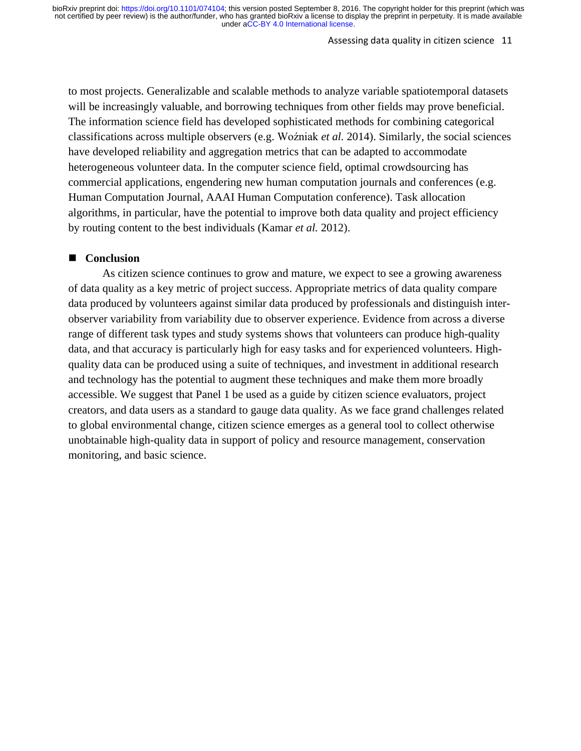#### Assessing data quality in citizen science 11

to most projects. Generalizable and scalable methods to analyze variable spatiotemporal datasets will be increasingly valuable, and borrowing techniques from other fields may prove beneficial. The information science field has developed sophisticated methods for combining categorical classifications across multiple observers (e.g. Woźniak *et al.* 2014). Similarly, the social sciences have developed reliability and aggregation metrics that can be adapted to accommodate heterogeneous volunteer data. In the computer science field, optimal crowdsourcing has commercial applications, engendering new human computation journals and conferences (e.g. Human Computation Journal, AAAI Human Computation conference). Task allocation algorithms, in particular, have the potential to improve both data quality and project efficiency by routing content to the best individuals (Kamar *et al.* 2012).

### ■ **Conclusion**

As citizen science continues to grow and mature, we expect to see a growing awareness of data quality as a key metric of project success. Appropriate metrics of data quality compare data produced by volunteers against similar data produced by professionals and distinguish interobserver variability from variability due to observer experience. Evidence from across a diverse range of different task types and study systems shows that volunteers can produce high-quality data, and that accuracy is particularly high for easy tasks and for experienced volunteers. Highquality data can be produced using a suite of techniques, and investment in additional research and technology has the potential to augment these techniques and make them more broadly accessible. We suggest that Panel 1 be used as a guide by citizen science evaluators, project creators, and data users as a standard to gauge data quality. As we face grand challenges related to global environmental change, citizen science emerges as a general tool to collect otherwise unobtainable high-quality data in support of policy and resource management, conservation monitoring, and basic science.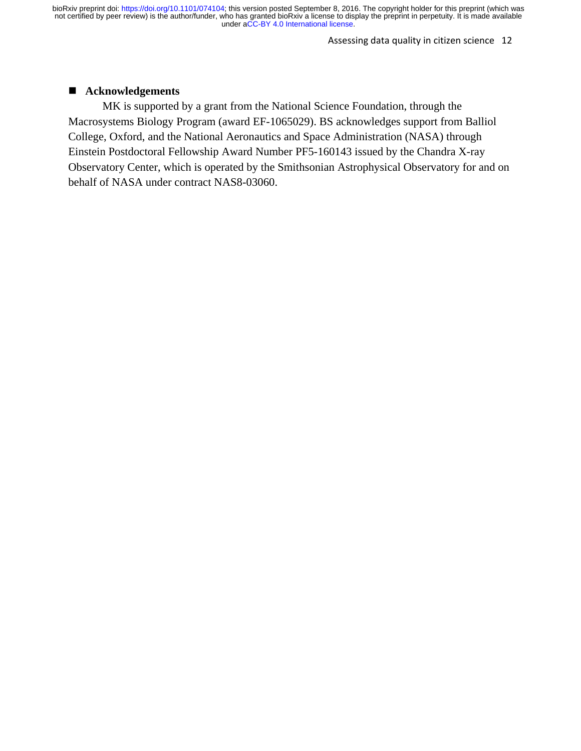Assessing data quality in citizen science 12

# **Acknowledgements**

MK is supported by a grant from the National Science Foundation, through the Macrosystems Biology Program (award EF-1065029). BS acknowledges support from Balliol College, Oxford, and the National Aeronautics and Space Administration (NASA) through Einstein Postdoctoral Fellowship Award Number PF5-160143 issued by the Chandra X-ray Observatory Center, which is operated by the Smithsonian Astrophysical Observatory for and on behalf of NASA under contract NAS8-03060.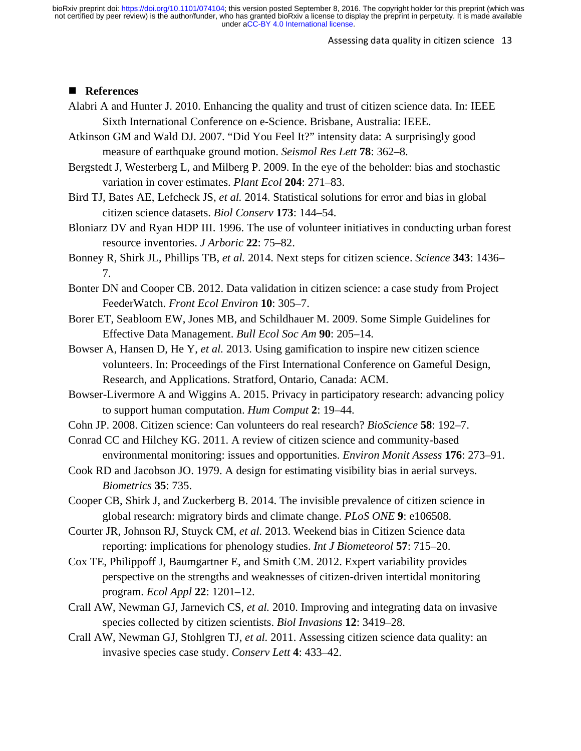#### Assessing data quality in citizen science 13

# ■ References

- Alabri A and Hunter J. 2010. Enhancing the quality and trust of citizen science data. In: IEEE Sixth International Conference on e-Science. Brisbane, Australia: IEEE.
- Atkinson GM and Wald DJ. 2007. "Did You Feel It?" intensity data: A surprisingly good measure of earthquake ground motion. *Seismol Res Lett* **78**: 362–8.
- Bergstedt J, Westerberg L, and Milberg P. 2009. In the eye of the beholder: bias and stochastic variation in cover estimates. *Plant Ecol* **204**: 271–83.
- Bird TJ, Bates AE, Lefcheck JS, *et al.* 2014. Statistical solutions for error and bias in global citizen science datasets. *Biol Conserv* **173**: 144–54.
- Bloniarz DV and Ryan HDP III. 1996. The use of volunteer initiatives in conducting urban forest resource inventories. *J Arboric* **22**: 75–82.
- Bonney R, Shirk JL, Phillips TB, *et al.* 2014. Next steps for citizen science. *Science* **343**: 1436– 7.
- Bonter DN and Cooper CB. 2012. Data validation in citizen science: a case study from Project FeederWatch. *Front Ecol Environ* **10**: 305–7.
- Borer ET, Seabloom EW, Jones MB, and Schildhauer M. 2009. Some Simple Guidelines for Effective Data Management. *Bull Ecol Soc Am* **90**: 205–14.
- Bowser A, Hansen D, He Y, *et al.* 2013. Using gamification to inspire new citizen science volunteers. In: Proceedings of the First International Conference on Gameful Design, Research, and Applications. Stratford, Ontario, Canada: ACM.
- Bowser-Livermore A and Wiggins A. 2015. Privacy in participatory research: advancing policy to support human computation. *Hum Comput* **2**: 19–44.
- Cohn JP. 2008. Citizen science: Can volunteers do real research? *BioScience* **58**: 192–7.
- Conrad CC and Hilchey KG. 2011. A review of citizen science and community-based environmental monitoring: issues and opportunities. *Environ Monit Assess* **176**: 273–91.
- Cook RD and Jacobson JO. 1979. A design for estimating visibility bias in aerial surveys. *Biometrics* **35**: 735.
- Cooper CB, Shirk J, and Zuckerberg B. 2014. The invisible prevalence of citizen science in global research: migratory birds and climate change. *PLoS ONE* **9**: e106508.
- Courter JR, Johnson RJ, Stuyck CM, *et al.* 2013. Weekend bias in Citizen Science data reporting: implications for phenology studies. *Int J Biometeorol* **57**: 715–20.
- Cox TE, Philippoff J, Baumgartner E, and Smith CM. 2012. Expert variability provides perspective on the strengths and weaknesses of citizen-driven intertidal monitoring program. *Ecol Appl* **22**: 1201–12.
- Crall AW, Newman GJ, Jarnevich CS, *et al.* 2010. Improving and integrating data on invasive species collected by citizen scientists. *Biol Invasions* **12**: 3419–28.
- Crall AW, Newman GJ, Stohlgren TJ, *et al.* 2011. Assessing citizen science data quality: an invasive species case study. *Conserv Lett* **4**: 433–42.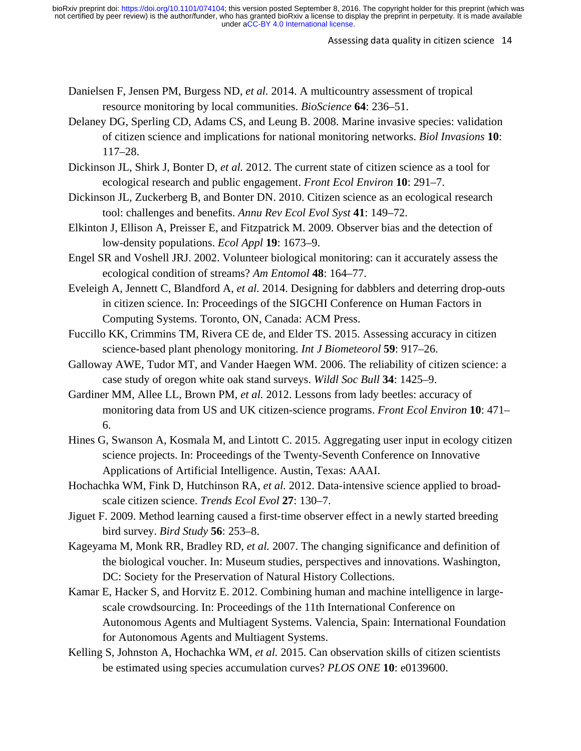- Danielsen F, Jensen PM, Burgess ND, *et al.* 2014. A multicountry assessment of tropical resource monitoring by local communities. *BioScience* **64**: 236–51.
- Delaney DG, Sperling CD, Adams CS, and Leung B. 2008. Marine invasive species: validation of citizen science and implications for national monitoring networks. *Biol Invasions* **10**: 117–28.
- Dickinson JL, Shirk J, Bonter D, *et al.* 2012. The current state of citizen science as a tool for ecological research and public engagement. *Front Ecol Environ* **10**: 291–7.
- Dickinson JL, Zuckerberg B, and Bonter DN. 2010. Citizen science as an ecological research tool: challenges and benefits. *Annu Rev Ecol Evol Syst* **41**: 149–72.
- Elkinton J, Ellison A, Preisser E, and Fitzpatrick M. 2009. Observer bias and the detection of low-density populations. *Ecol Appl* **19**: 1673–9.
- Engel SR and Voshell JRJ. 2002. Volunteer biological monitoring: can it accurately assess the ecological condition of streams? *Am Entomol* **48**: 164–77.
- Eveleigh A, Jennett C, Blandford A, *et al.* 2014. Designing for dabblers and deterring drop-outs in citizen science. In: Proceedings of the SIGCHI Conference on Human Factors in Computing Systems. Toronto, ON, Canada: ACM Press.
- Fuccillo KK, Crimmins TM, Rivera CE de, and Elder TS. 2015. Assessing accuracy in citizen science-based plant phenology monitoring. *Int J Biometeorol* **59**: 917–26.
- Galloway AWE, Tudor MT, and Vander Haegen WM. 2006. The reliability of citizen science: a case study of oregon white oak stand surveys. *Wildl Soc Bull* **34**: 1425–9.
- Gardiner MM, Allee LL, Brown PM, *et al.* 2012. Lessons from lady beetles: accuracy of monitoring data from US and UK citizen-science programs. *Front Ecol Environ* **10**: 471– 6.
- Hines G, Swanson A, Kosmala M, and Lintott C. 2015. Aggregating user input in ecology citizen science projects. In: Proceedings of the Twenty-Seventh Conference on Innovative Applications of Artificial Intelligence. Austin, Texas: AAAI.
- Hochachka WM, Fink D, Hutchinson RA, *et al.* 2012. Data-intensive science applied to broadscale citizen science. *Trends Ecol Evol* **27**: 130–7.
- Jiguet F. 2009. Method learning caused a first‐time observer effect in a newly started breeding bird survey. *Bird Study* **56**: 253–8.
- Kageyama M, Monk RR, Bradley RD, *et al.* 2007. The changing significance and definition of the biological voucher. In: Museum studies, perspectives and innovations. Washington, DC: Society for the Preservation of Natural History Collections.
- Kamar E, Hacker S, and Horvitz E. 2012. Combining human and machine intelligence in largescale crowdsourcing. In: Proceedings of the 11th International Conference on Autonomous Agents and Multiagent Systems. Valencia, Spain: International Foundation for Autonomous Agents and Multiagent Systems.
- Kelling S, Johnston A, Hochachka WM, *et al.* 2015. Can observation skills of citizen scientists be estimated using species accumulation curves? *PLOS ONE* **10**: e0139600.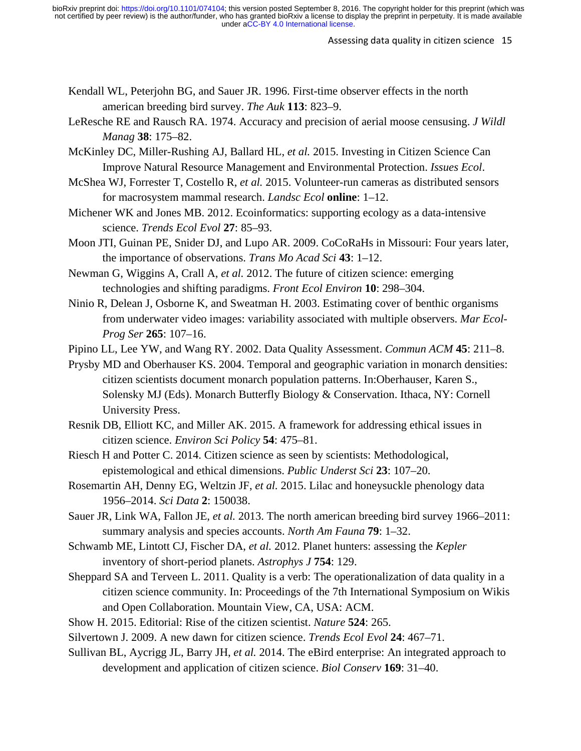- Kendall WL, Peterjohn BG, and Sauer JR. 1996. First-time observer effects in the north american breeding bird survey. *The Auk* **113**: 823–9.
- LeResche RE and Rausch RA. 1974. Accuracy and precision of aerial moose censusing. *J Wildl Manag* **38**: 175–82.
- McKinley DC, Miller-Rushing AJ, Ballard HL, *et al.* 2015. Investing in Citizen Science Can Improve Natural Resource Management and Environmental Protection. *Issues Ecol*.
- McShea WJ, Forrester T, Costello R, *et al.* 2015. Volunteer-run cameras as distributed sensors for macrosystem mammal research. *Landsc Ecol* **online**: 1–12.
- Michener WK and Jones MB. 2012. Ecoinformatics: supporting ecology as a data-intensive science. *Trends Ecol Evol* **27**: 85–93.
- Moon JTI, Guinan PE, Snider DJ, and Lupo AR. 2009. CoCoRaHs in Missouri: Four years later, the importance of observations. *Trans Mo Acad Sci* **43**: 1–12.
- Newman G, Wiggins A, Crall A, *et al.* 2012. The future of citizen science: emerging technologies and shifting paradigms. *Front Ecol Environ* **10**: 298–304.
- Ninio R, Delean J, Osborne K, and Sweatman H. 2003. Estimating cover of benthic organisms from underwater video images: variability associated with multiple observers. *Mar Ecol-Prog Ser* **265**: 107–16.
- Pipino LL, Lee YW, and Wang RY. 2002. Data Quality Assessment. *Commun ACM* **45**: 211–8.
- Prysby MD and Oberhauser KS. 2004. Temporal and geographic variation in monarch densities: citizen scientists document monarch population patterns. In:Oberhauser, Karen S., Solensky MJ (Eds). Monarch Butterfly Biology & Conservation. Ithaca, NY: Cornell University Press.
- Resnik DB, Elliott KC, and Miller AK. 2015. A framework for addressing ethical issues in citizen science. *Environ Sci Policy* **54**: 475–81.
- Riesch H and Potter C. 2014. Citizen science as seen by scientists: Methodological, epistemological and ethical dimensions. *Public Underst Sci* **23**: 107–20.
- Rosemartin AH, Denny EG, Weltzin JF, *et al.* 2015. Lilac and honeysuckle phenology data 1956–2014. *Sci Data* **2**: 150038.
- Sauer JR, Link WA, Fallon JE, *et al.* 2013. The north american breeding bird survey 1966–2011: summary analysis and species accounts. *North Am Fauna* **79**: 1–32.
- Schwamb ME, Lintott CJ, Fischer DA, *et al.* 2012. Planet hunters: assessing the *Kepler* inventory of short-period planets. *Astrophys J* **754**: 129.
- Sheppard SA and Terveen L. 2011. Quality is a verb: The operationalization of data quality in a citizen science community. In: Proceedings of the 7th International Symposium on Wikis and Open Collaboration. Mountain View, CA, USA: ACM.
- Show H. 2015. Editorial: Rise of the citizen scientist. *Nature* **524**: 265.
- Silvertown J. 2009. A new dawn for citizen science. *Trends Ecol Evol* **24**: 467–71.
- Sullivan BL, Aycrigg JL, Barry JH, *et al.* 2014. The eBird enterprise: An integrated approach to development and application of citizen science. *Biol Conserv* **169**: 31–40.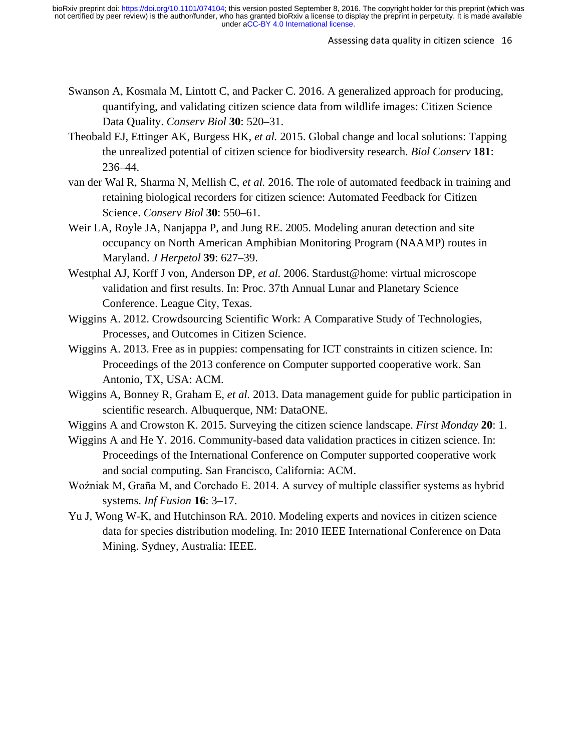- Swanson A, Kosmala M, Lintott C, and Packer C. 2016. A generalized approach for producing, quantifying, and validating citizen science data from wildlife images: Citizen Science Data Quality. *Conserv Biol* **30**: 520–31.
- Theobald EJ, Ettinger AK, Burgess HK, *et al.* 2015. Global change and local solutions: Tapping the unrealized potential of citizen science for biodiversity research. *Biol Conserv* **181**: 236–44.
- van der Wal R, Sharma N, Mellish C, *et al.* 2016. The role of automated feedback in training and retaining biological recorders for citizen science: Automated Feedback for Citizen Science. *Conserv Biol* **30**: 550–61.
- Weir LA, Royle JA, Nanjappa P, and Jung RE. 2005. Modeling anuran detection and site occupancy on North American Amphibian Monitoring Program (NAAMP) routes in Maryland. *J Herpetol* **39**: 627–39.
- Westphal AJ, Korff J von, Anderson DP, *et al.* 2006. Stardust@home: virtual microscope validation and first results. In: Proc. 37th Annual Lunar and Planetary Science Conference. League City, Texas.
- Wiggins A. 2012. Crowdsourcing Scientific Work: A Comparative Study of Technologies, Processes, and Outcomes in Citizen Science.
- Wiggins A. 2013. Free as in puppies: compensating for ICT constraints in citizen science. In: Proceedings of the 2013 conference on Computer supported cooperative work. San Antonio, TX, USA: ACM.
- Wiggins A, Bonney R, Graham E, *et al.* 2013. Data management guide for public participation in scientific research. Albuquerque, NM: DataONE.
- Wiggins A and Crowston K. 2015. Surveying the citizen science landscape. *First Monday* **20**: 1.
- Wiggins A and He Y. 2016. Community-based data validation practices in citizen science. In: Proceedings of the International Conference on Computer supported cooperative work and social computing. San Francisco, California: ACM.
- Woźniak M, Graña M, and Corchado E. 2014. A survey of multiple classifier systems as hybrid systems. *Inf Fusion* **16**: 3–17.
- Yu J, Wong W-K, and Hutchinson RA. 2010. Modeling experts and novices in citizen science data for species distribution modeling. In: 2010 IEEE International Conference on Data Mining. Sydney, Australia: IEEE.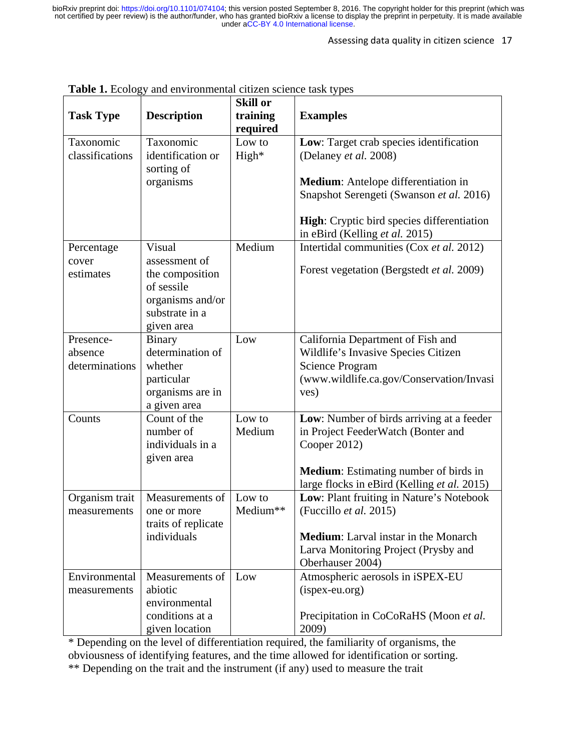#### Assessing data quality in citizen science 17

|                  | <b>Table 1.</b> Ecology and environmental citizen science task types |                             |                                                    |
|------------------|----------------------------------------------------------------------|-----------------------------|----------------------------------------------------|
| <b>Task Type</b> | <b>Description</b>                                                   | <b>Skill or</b><br>training | <b>Examples</b>                                    |
|                  |                                                                      | required                    |                                                    |
| Taxonomic        | Taxonomic                                                            | Low to                      | Low: Target crab species identification            |
| classifications  | identification or                                                    | $High*$                     | (Delaney et al. 2008)                              |
|                  | sorting of                                                           |                             |                                                    |
|                  | organisms                                                            |                             | Medium: Antelope differentiation in                |
|                  |                                                                      |                             | Snapshot Serengeti (Swanson et al. 2016)           |
|                  |                                                                      |                             |                                                    |
|                  |                                                                      |                             | <b>High:</b> Cryptic bird species differentiation  |
|                  |                                                                      |                             | in eBird (Kelling et al. 2015)                     |
| Percentage       | Visual                                                               | Medium                      | Intertidal communities (Cox et al. 2012)           |
| cover            | assessment of                                                        |                             |                                                    |
| estimates        | the composition                                                      |                             | Forest vegetation (Bergstedt et al. 2009)          |
|                  | of sessile                                                           |                             |                                                    |
|                  | organisms and/or                                                     |                             |                                                    |
|                  | substrate in a                                                       |                             |                                                    |
|                  | given area                                                           |                             |                                                    |
| Presence-        | <b>Binary</b>                                                        | Low                         | California Department of Fish and                  |
| absence          | determination of                                                     |                             | Wildlife's Invasive Species Citizen                |
| determinations   | whether                                                              |                             | <b>Science Program</b>                             |
|                  | particular                                                           |                             | (www.wildlife.ca.gov/Conservation/Invasi           |
|                  | organisms are in                                                     |                             | ves)                                               |
|                  | a given area<br>Count of the                                         |                             |                                                    |
| Counts           | number of                                                            | Low to<br>Medium            | Low: Number of birds arriving at a feeder          |
|                  | individuals in a                                                     |                             | in Project FeederWatch (Bonter and<br>Cooper 2012) |
|                  | given area                                                           |                             |                                                    |
|                  |                                                                      |                             | <b>Medium:</b> Estimating number of birds in       |
|                  |                                                                      |                             | large flocks in eBird (Kelling et al. 2015)        |
| Organism trait   | Measurements of                                                      | Low to                      | Low: Plant fruiting in Nature's Notebook           |
| measurements     | one or more                                                          | Medium**                    | (Fuccillo et al. 2015)                             |
|                  | traits of replicate                                                  |                             |                                                    |
|                  | individuals                                                          |                             | <b>Medium:</b> Larval instar in the Monarch        |
|                  |                                                                      |                             | Larva Monitoring Project (Prysby and               |
|                  |                                                                      |                             | Oberhauser 2004)                                   |
| Environmental    | Measurements of                                                      | Low                         | Atmospheric aerosols in iSPEX-EU                   |
| measurements     | abiotic                                                              |                             | (ispex-eu.org)                                     |
|                  | environmental                                                        |                             |                                                    |
|                  | conditions at a                                                      |                             | Precipitation in CoCoRaHS (Moon et al.             |
|                  | given location                                                       |                             | 2009)                                              |

**Table 1.** Ecology and environmental citizen science task types

\* Depending on the level of differentiation required, the familiarity of organisms, the obviousness of identifying features, and the time allowed for identification or sorting. \*\* Depending on the trait and the instrument (if any) used to measure the trait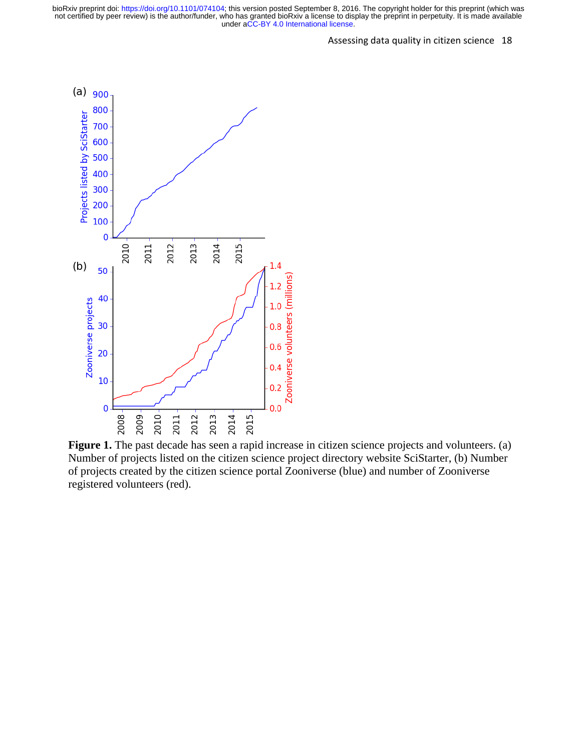

**Figure 1.** The past decade has seen a rapid increase in citizen science projects and volunteers. (a) Number of projects listed on the citizen science project directory website SciStarter, (b) Number of projects created by the citizen science portal Zooniverse (blue) and number of Zooniverse registered volunteers (red).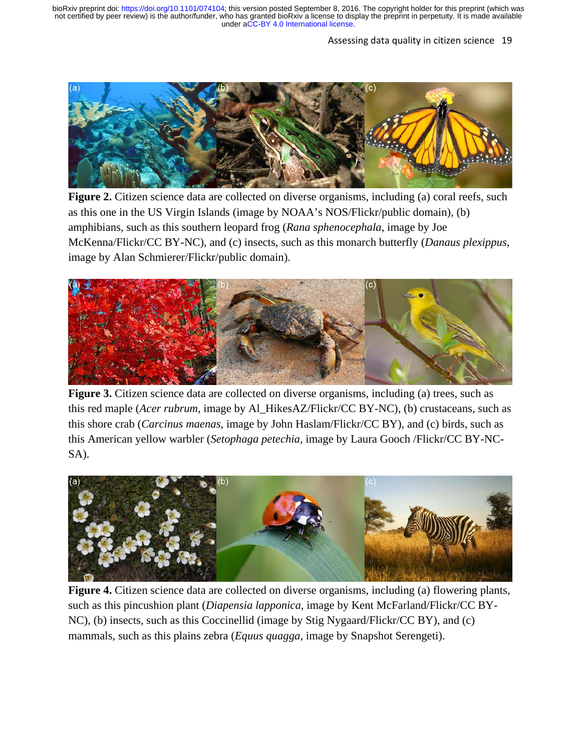### Assessing data quality in citizen science 19



**Figure 2.** Citizen science data are collected on diverse organisms, including (a) coral reefs, such as this one in the US Virgin Islands (image by NOAA's NOS/Flickr/public domain), (b) amphibians, such as this southern leopard frog (*Rana sphenocephala*, image by Joe McKenna/Flickr/CC BY-NC), and (c) insects, such as this monarch butterfly (*Danaus plexippus*, image by Alan Schmierer/Flickr/public domain).



**Figure 3.** Citizen science data are collected on diverse organisms, including (a) trees, such as this red maple (*Acer rubrum*, image by Al\_HikesAZ/Flickr/CC BY-NC), (b) crustaceans, such as this shore crab (*Carcinus maenas*, image by John Haslam/Flickr/CC BY), and (c) birds, such as this American yellow warbler (*Setophaga petechia*, image by Laura Gooch /Flickr/CC BY-NC-SA).



**Figure 4.** Citizen science data are collected on diverse organisms, including (a) flowering plants, such as this pincushion plant (*Diapensia lapponica*, image by Kent McFarland/Flickr/CC BY-NC), (b) insects, such as this Coccinellid (image by Stig Nygaard/Flickr/CC BY), and (c) mammals, such as this plains zebra (*Equus quagga*, image by Snapshot Serengeti).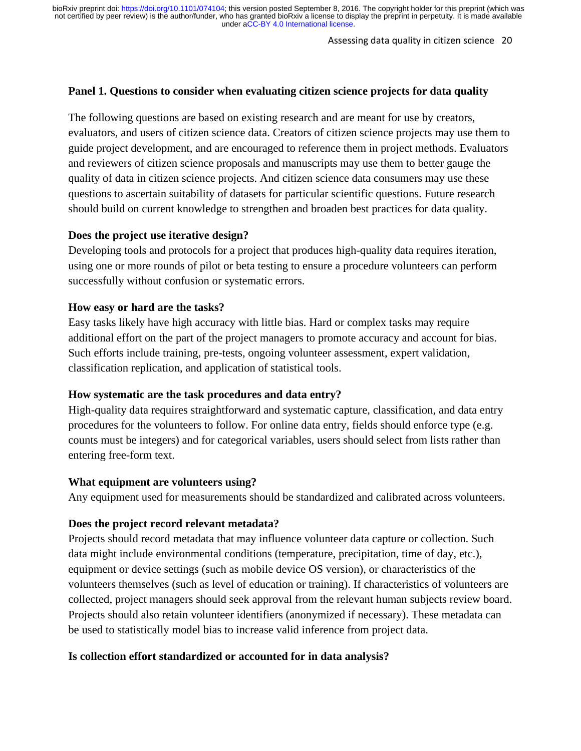Assessing data quality in citizen science 20

## **Panel 1. Questions to consider when evaluating citizen science projects for data quality**

The following questions are based on existing research and are meant for use by creators, evaluators, and users of citizen science data. Creators of citizen science projects may use them to guide project development, and are encouraged to reference them in project methods. Evaluators and reviewers of citizen science proposals and manuscripts may use them to better gauge the quality of data in citizen science projects. And citizen science data consumers may use these questions to ascertain suitability of datasets for particular scientific questions. Future research should build on current knowledge to strengthen and broaden best practices for data quality.

### **Does the project use iterative design?**

Developing tools and protocols for a project that produces high-quality data requires iteration, using one or more rounds of pilot or beta testing to ensure a procedure volunteers can perform successfully without confusion or systematic errors.

### **How easy or hard are the tasks?**

Easy tasks likely have high accuracy with little bias. Hard or complex tasks may require additional effort on the part of the project managers to promote accuracy and account for bias. Such efforts include training, pre-tests, ongoing volunteer assessment, expert validation, classification replication, and application of statistical tools.

### **How systematic are the task procedures and data entry?**

High-quality data requires straightforward and systematic capture, classification, and data entry procedures for the volunteers to follow. For online data entry, fields should enforce type (e.g. counts must be integers) and for categorical variables, users should select from lists rather than entering free-form text.

### **What equipment are volunteers using?**

Any equipment used for measurements should be standardized and calibrated across volunteers.

### **Does the project record relevant metadata?**

Projects should record metadata that may influence volunteer data capture or collection. Such data might include environmental conditions (temperature, precipitation, time of day, etc.), equipment or device settings (such as mobile device OS version), or characteristics of the volunteers themselves (such as level of education or training). If characteristics of volunteers are collected, project managers should seek approval from the relevant human subjects review board. Projects should also retain volunteer identifiers (anonymized if necessary). These metadata can be used to statistically model bias to increase valid inference from project data.

## **Is collection effort standardized or accounted for in data analysis?**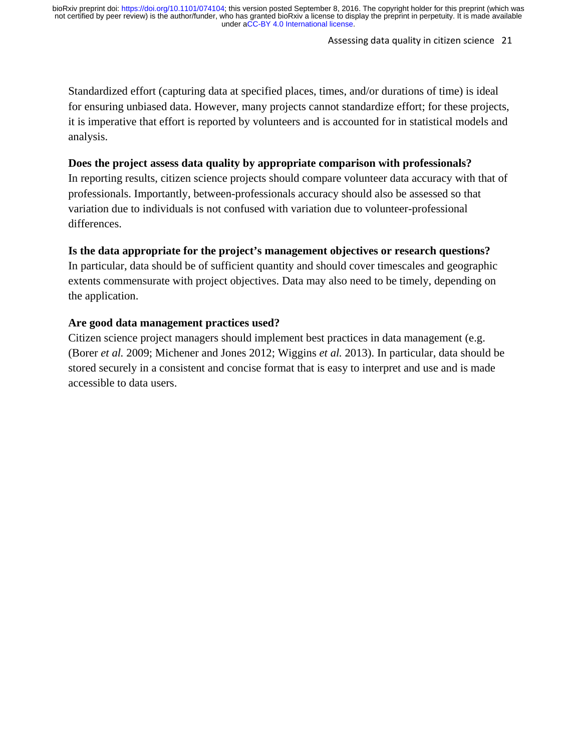#### Assessing data quality in citizen science 21

Standardized effort (capturing data at specified places, times, and/or durations of time) is ideal for ensuring unbiased data. However, many projects cannot standardize effort; for these projects, it is imperative that effort is reported by volunteers and is accounted for in statistical models and analysis.

# **Does the project assess data quality by appropriate comparison with professionals?**

In reporting results, citizen science projects should compare volunteer data accuracy with that of professionals. Importantly, between-professionals accuracy should also be assessed so that variation due to individuals is not confused with variation due to volunteer-professional differences.

# **Is the data appropriate for the project's management objectives or research questions?**

In particular, data should be of sufficient quantity and should cover timescales and geographic extents commensurate with project objectives. Data may also need to be timely, depending on the application.

# **Are good data management practices used?**

Citizen science project managers should implement best practices in data management (e.g. (Borer *et al.* 2009; Michener and Jones 2012; Wiggins *et al.* 2013). In particular, data should be stored securely in a consistent and concise format that is easy to interpret and use and is made accessible to data users.